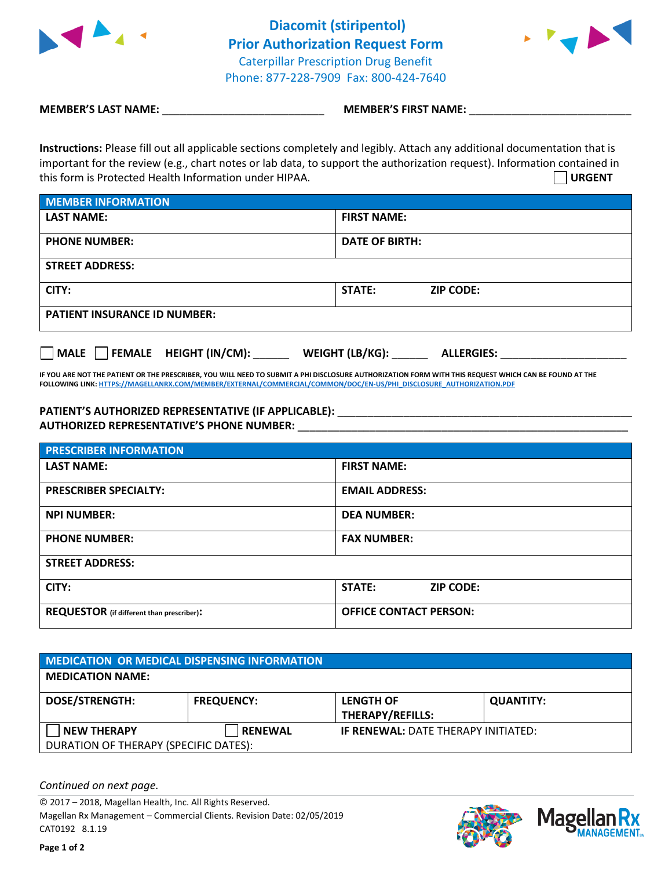

**Diacomit (stiripentol) Prior Authorization Request Form** Caterpillar Prescription Drug Benefit Phone: 877-228-7909 Fax: 800-424-7640



**MEMBER'S LAST NAME:**  $\blacksquare$  **MEMBER'S FIRST NAME:**  $\blacksquare$ 

**Instructions:** Please fill out all applicable sections completely and legibly. Attach any additional documentation that is important for the review (e.g., chart notes or lab data, to support the authorization request). Information contained in this form is Protected Health Information under HIPAA. **URGENT**

| MEMBER INFORMATION                  |                            |  |  |  |
|-------------------------------------|----------------------------|--|--|--|
| <b>LAST NAME:</b>                   | <b>FIRST NAME:</b>         |  |  |  |
| <b>PHONE NUMBER:</b>                | <b>DATE OF BIRTH:</b>      |  |  |  |
| <b>STREET ADDRESS:</b>              |                            |  |  |  |
| CITY:                               | STATE:<br><b>ZIP CODE:</b> |  |  |  |
| <b>PATIENT INSURANCE ID NUMBER:</b> |                            |  |  |  |

**MALE FEMALE HEIGHT (IN/CM):** \_\_\_\_\_\_ **WEIGHT (LB/KG):** \_\_\_\_\_\_ **ALLERGIES:** \_\_\_\_\_\_\_\_\_\_\_\_\_\_\_\_\_\_\_\_\_

**IF YOU ARE NOT THE PATIENT OR THE PRESCRIBER, YOU WILL NEED TO SUBMIT A PHI DISCLOSURE AUTHORIZATION FORM WITH THIS REQUEST WHICH CAN BE FOUND AT THE FOLLOWING LINK[: HTTPS://MAGELLANRX.COM/MEMBER/EXTERNAL/COMMERCIAL/COMMON/DOC/EN-US/PHI\\_DISCLOSURE\\_AUTHORIZATION.PDF](https://magellanrx.com/member/external/commercial/common/doc/en-us/PHI_Disclosure_Authorization.pdf)**

## **PATIENT'S AUTHORIZED REPRESENTATIVE (IF APPLICABLE):** \_\_\_\_\_\_\_\_\_\_\_\_\_\_\_\_\_\_\_\_\_\_\_\_\_\_\_\_\_\_\_\_\_\_\_\_\_\_\_\_\_\_\_\_\_\_\_\_\_ **AUTHORIZED REPRESENTATIVE'S PHONE NUMBER:** \_\_\_\_\_\_\_\_\_\_\_\_\_\_\_\_\_\_\_\_\_\_\_\_\_\_\_\_\_\_\_\_\_\_\_\_\_\_\_\_\_\_\_\_\_\_\_\_\_\_\_\_\_\_\_

| <b>PRESCRIBER INFORMATION</b>                    |                               |  |  |  |
|--------------------------------------------------|-------------------------------|--|--|--|
| <b>LAST NAME:</b>                                | <b>FIRST NAME:</b>            |  |  |  |
| <b>PRESCRIBER SPECIALTY:</b>                     | <b>EMAIL ADDRESS:</b>         |  |  |  |
| <b>NPI NUMBER:</b>                               | <b>DEA NUMBER:</b>            |  |  |  |
| <b>PHONE NUMBER:</b>                             | <b>FAX NUMBER:</b>            |  |  |  |
| <b>STREET ADDRESS:</b>                           |                               |  |  |  |
| CITY:                                            | STATE:<br><b>ZIP CODE:</b>    |  |  |  |
| <b>REQUESTOR</b> (if different than prescriber): | <b>OFFICE CONTACT PERSON:</b> |  |  |  |

| MEDICATION OR MEDICAL DISPENSING INFORMATION                |                   |                                             |                  |  |  |
|-------------------------------------------------------------|-------------------|---------------------------------------------|------------------|--|--|
| <b>MEDICATION NAME:</b>                                     |                   |                                             |                  |  |  |
| <b>DOSE/STRENGTH:</b>                                       | <b>FREQUENCY:</b> | <b>LENGTH OF</b><br><b>THERAPY/REFILLS:</b> | <b>QUANTITY:</b> |  |  |
| <b>NEW THERAPY</b><br>DURATION OF THERAPY (SPECIFIC DATES): | <b>RENEWAL</b>    | <b>IF RENEWAL: DATE THERAPY INITIATED:</b>  |                  |  |  |

*Continued on next page.*

© 2017 – 2018, Magellan Health, Inc. All Rights Reserved. Magellan Rx Management – Commercial Clients. Revision Date: 02/05/2019 CAT0192 8.1.19